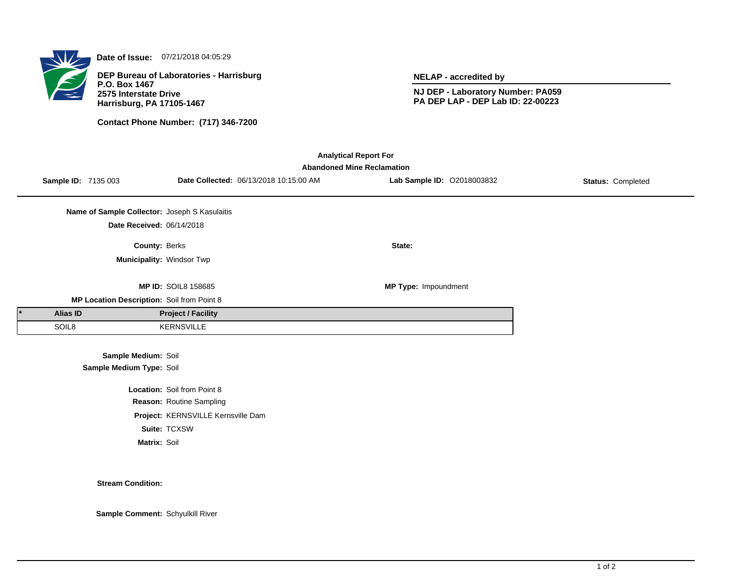

**Date of Issue:** 07/21/2018 04:05:29

**DEP Bureau of Laboratories - Harrisburg P.O. Box 1467 2575 Interstate Drive Harrisburg, PA 17105-1467**

**Contact Phone Number: (717) 346-7200**

**NELAP - accredited by**

**NJ DEP - Laboratory Number: PA059 PA DEP LAP - DEP Lab ID: 22-00223**

| <b>Analytical Report For</b><br><b>Abandoned Mine Reclamation</b> |                     |                                               |                                    |                                        |                            |                          |  |  |  |
|-------------------------------------------------------------------|---------------------|-----------------------------------------------|------------------------------------|----------------------------------------|----------------------------|--------------------------|--|--|--|
|                                                                   | Sample ID: 7135 003 |                                               |                                    | Date Collected: 06/13/2018 10:15:00 AM | Lab Sample ID: 02018003832 | <b>Status: Completed</b> |  |  |  |
|                                                                   |                     | Name of Sample Collector: Joseph S Kasulaitis |                                    |                                        |                            |                          |  |  |  |
|                                                                   |                     | Date Received: 06/14/2018                     |                                    |                                        |                            |                          |  |  |  |
|                                                                   |                     | County: Berks                                 |                                    |                                        | State:                     |                          |  |  |  |
|                                                                   |                     | Municipality: Windsor Twp                     |                                    |                                        |                            |                          |  |  |  |
|                                                                   |                     |                                               | <b>MP ID: SOIL8 158685</b>         |                                        | MP Type: Impoundment       |                          |  |  |  |
|                                                                   |                     | MP Location Description: Soil from Point 8    |                                    |                                        |                            |                          |  |  |  |
|                                                                   | <b>Alias ID</b>     |                                               | <b>Project / Facility</b>          |                                        |                            |                          |  |  |  |
|                                                                   | SOIL8               |                                               | <b>KERNSVILLE</b>                  |                                        |                            |                          |  |  |  |
|                                                                   |                     | Sample Medium: Soil                           |                                    |                                        |                            |                          |  |  |  |
|                                                                   |                     | Sample Medium Type: Soil                      |                                    |                                        |                            |                          |  |  |  |
|                                                                   |                     |                                               | Location: Soil from Point 8        |                                        |                            |                          |  |  |  |
|                                                                   |                     |                                               | Reason: Routine Sampling           |                                        |                            |                          |  |  |  |
|                                                                   |                     |                                               | Project: KERNSVILLE Kernsville Dam |                                        |                            |                          |  |  |  |
|                                                                   |                     |                                               | Suite: TCXSW                       |                                        |                            |                          |  |  |  |
|                                                                   |                     | Matrix: Soil                                  |                                    |                                        |                            |                          |  |  |  |

**Stream Condition:**

**Sample Comment:** Schyulkill River